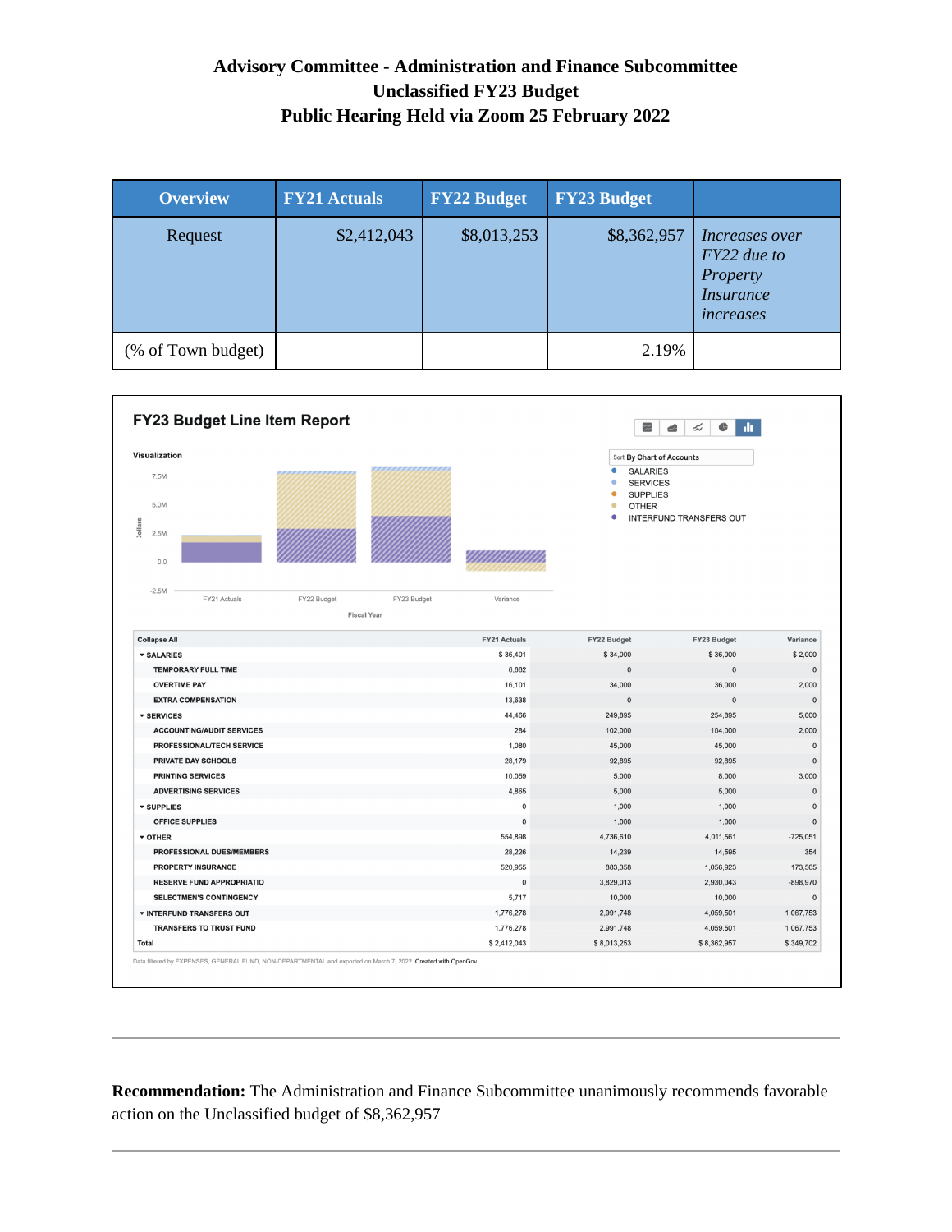## **Advisory Committee - Administration and Finance Subcommittee Unclassified FY23 Budget Public Hearing Held via Zoom 25 February 2022**

| <b>Overview</b>    | <b>FY21 Actuals</b> | <b>FY22 Budget</b> | <b>FY23 Budget</b> |                                                                                          |
|--------------------|---------------------|--------------------|--------------------|------------------------------------------------------------------------------------------|
| Request            | \$2,412,043         | \$8,013,253        | \$8,362,957        | <i>Increases over</i><br>FY22 due to<br>Property<br><i><b>Insurance</b></i><br>increases |
| (% of Town budget) |                     |                    | 2.19%              |                                                                                          |



**Recommendation:** The Administration and Finance Subcommittee unanimously recommends favorable action on the Unclassified budget of \$8,362,957